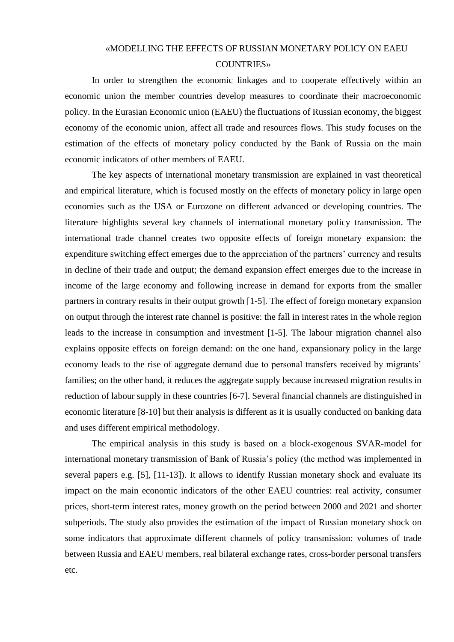## «MODELLING THE EFFECTS OF RUSSIAN MONETARY POLICY ON EAEU COUNTRIES»

In order to strengthen the economic linkages and to cooperate effectively within an economic union the member countries develop measures to coordinate their macroeconomic policy. In the Eurasian Economic union (EAEU) the fluctuations of Russian economy, the biggest economy of the economic union, affect all trade and resources flows. This study focuses on the estimation of the effects of monetary policy conducted by the Bank of Russia on the main economic indicators of other members of EAEU.

The key aspects of international monetary transmission are explained in vast theoretical and empirical literature, which is focused mostly on the effects of monetary policy in large open economies such as the USA or Eurozone on different advanced or developing countries. The literature highlights several key channels of international monetary policy transmission. The international trade channel creates two opposite effects of foreign monetary expansion: the expenditure switching effect emerges due to the appreciation of the partners' currency and results in decline of their trade and output; the demand expansion effect emerges due to the increase in income of the large economy and following increase in demand for exports from the smaller partners in contrary results in their output growth [1-5]. The effect of foreign monetary expansion on output through the interest rate channel is positive: the fall in interest rates in the whole region leads to the increase in consumption and investment [1-5]. The labour migration channel also explains opposite effects on foreign demand: on the one hand, expansionary policy in the large economy leads to the rise of aggregate demand due to personal transfers received by migrants' families; on the other hand, it reduces the aggregate supply because increased migration results in reduction of labour supply in these countries [6-7]. Several financial channels are distinguished in economic literature [8-10] but their analysis is different as it is usually conducted on banking data and uses different empirical methodology.

The empirical analysis in this study is based on a block-exogenous SVAR-model for international monetary transmission of Bank of Russia's policy (the method was implemented in several papers e.g. [5], [11-13]). It allows to identify Russian monetary shock and evaluate its impact on the main economic indicators of the other EAEU countries: real activity, consumer prices, short-term interest rates, money growth on the period between 2000 and 2021 and shorter subperiods. The study also provides the estimation of the impact of Russian monetary shock on some indicators that approximate different channels of policy transmission: volumes of trade between Russia and EAEU members, real bilateral exchange rates, cross-border personal transfers etc.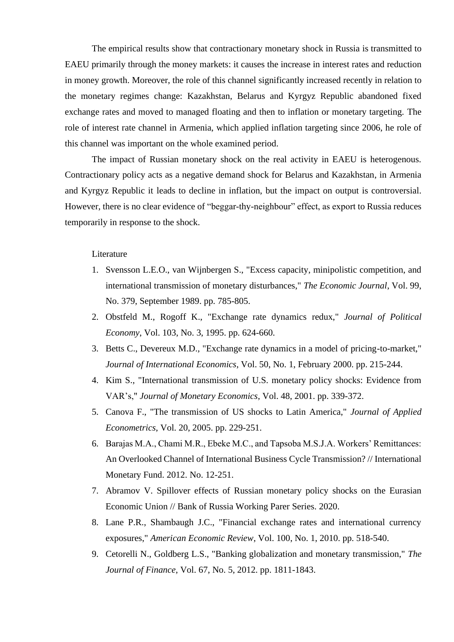The empirical results show that contractionary monetary shock in Russia is transmitted to EAEU primarily through the money markets: it causes the increase in interest rates and reduction in money growth. Moreover, the role of this channel significantly increased recently in relation to the monetary regimes change: Kazakhstan, Belarus and Kyrgyz Republic abandoned fixed exchange rates and moved to managed floating and then to inflation or monetary targeting. The role of interest rate channel in Armenia, which applied inflation targeting since 2006, he role of this channel was important on the whole examined period.

The impact of Russian monetary shock on the real activity in EAEU is heterogenous. Contractionary policy acts as a negative demand shock for Belarus and Kazakhstan, in Armenia and Kyrgyz Republic it leads to decline in inflation, but the impact on output is controversial. However, there is no clear evidence of "beggar-thy-neighbour" effect, as export to Russia reduces temporarily in response to the shock.

## Literature

- 1. Svensson L.E.O., van Wijnbergen S., "Excess capacity, minipolistic competition, and international transmission of monetary disturbances," *The Economic Journal*, Vol. 99, No. 379, September 1989. pp. 785-805.
- 2. Obstfeld M., Rogoff K., "Exchange rate dynamics redux," *Journal of Political Economy*, Vol. 103, No. 3, 1995. pp. 624-660.
- 3. Betts C., Devereux M.D., "Exchange rate dynamics in a model of pricing-to-market," *Journal of International Economics*, Vol. 50, No. 1, February 2000. pp. 215-244.
- 4. Kim S., "International transmission of U.S. monetary policy shocks: Evidence from VAR's," *Journal of Monetary Economics*, Vol. 48, 2001. pp. 339-372.
- 5. Canova F., "The transmission of US shocks to Latin America," *Journal of Applied Econometrics*, Vol. 20, 2005. pp. 229-251.
- 6. Barajas M.A., Chami M.R., Ebeke M.C., and Tapsoba M.S.J.A. Workers' Remittances: An Overlooked Channel of International Business Cycle Transmission? // International Monetary Fund. 2012. No. 12-251.
- 7. Abramov V. Spillover effects of Russian monetary policy shocks on the Eurasian Economic Union // Bank of Russia Working Parer Series. 2020.
- 8. Lane P.R., Shambaugh J.C., "Financial exchange rates and international currency exposures," *American Economic Review*, Vol. 100, No. 1, 2010. pp. 518-540.
- 9. Cetorelli N., Goldberg L.S., "Banking globalization and monetary transmission," *The Journal of Finance*, Vol. 67, No. 5, 2012. pp. 1811-1843.